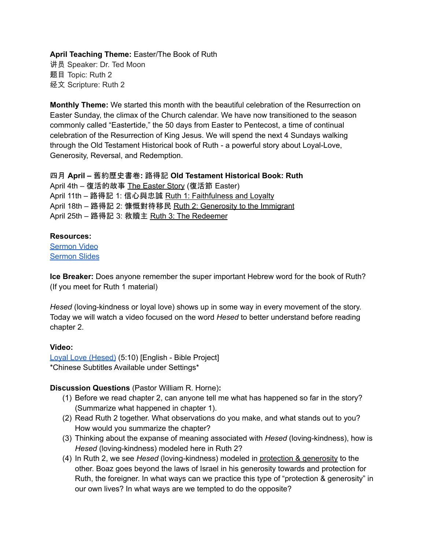### **April Teaching Theme:** Easter/The Book of Ruth 讲员 Speaker: Dr. Ted Moon 题目 Topic: Ruth 2 经文 Scripture: Ruth 2

**Monthly Theme:** We started this month with the beautiful celebration of the Resurrection on Easter Sunday, the climax of the Church calendar. We have now transitioned to the season commonly called "Eastertide," the 50 days from Easter to Pentecost, a time of continual celebration of the Resurrection of King Jesus. We will spend the next 4 Sundays walking through the Old Testament Historical book of Ruth - a powerful story about Loyal-Love, Generosity, Reversal, and Redemption.

四月 **April –** 舊約歷史書卷**:** 路得記 **Old Testament Historical Book: Ruth** April 4th – 復活的故事 The Easter Story (復活節 Easter) April 11th – 路得記 1: 信心與忠誠 Ruth 1: Faithfulness and Loyalty April 18th - 路得記 2: 慷慨對待移民 Ruth 2: Generosity to the Immigrant April 25th – 路得記 3: 救贖主 Ruth 3: The Redeemer

#### **Resources:**

[Sermon](https://www.youtube.com/watch?v=9AECon8VM8M) Video [Sermon](http://www.lcccky.org/CellGroup/Meetings/Being%20in%20the%20Right%20Moon.pdf) Slides

**Ice Breaker:** Does anyone remember the super important Hebrew word for the book of Ruth? (If you meet for Ruth 1 material)

*Hesed* (loving-kindness or loyal love) shows up in some way in every movement of the story. Today we will watch a video focused on the word *Hesed* to better understand before reading chapter 2.

# **Video:**

Loyal Love [\(Hesed\)](https://bibleproject.com/explore/video/loyal-love) (5:10) [English - Bible Project] \*Chinese Subtitles Available under Settings\*

**Discussion Questions** (Pastor William R. Horne)**:**

- (1) Before we read chapter 2, can anyone tell me what has happened so far in the story? (Summarize what happened in chapter 1).
- (2) Read Ruth 2 together. What observations do you make, and what stands out to you? How would you summarize the chapter?
- (3) Thinking about the expanse of meaning associated with *Hesed* (loving-kindness), how is *Hesed* (loving-kindness) modeled here in Ruth 2?
- (4) In Ruth 2, we see *Hesed* (loving-kindness) modeled in protection & generosity to the other. Boaz goes beyond the laws of Israel in his generosity towards and protection for Ruth, the foreigner. In what ways can we practice this type of "protection & generosity" in our own lives? In what ways are we tempted to do the opposite?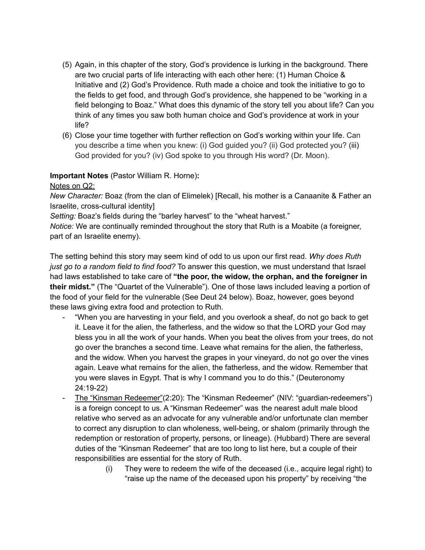- (5) Again, in this chapter of the story, God's providence is lurking in the background. There are two crucial parts of life interacting with each other here: (1) Human Choice & Initiative and (2) God's Providence. Ruth made a choice and took the initiative to go to the fields to get food, and through God's providence, she happened to be "working in a field belonging to Boaz." What does this dynamic of the story tell you about life? Can you think of any times you saw both human choice and God's providence at work in your life?
- (6) Close your time together with further reflection on God's working within your life. Can you describe a time when you knew: (i) God guided you? (ii) God protected you? (iii) God provided for you? (iv) God spoke to you through His word? (Dr. Moon).

# **Important Notes** (Pastor William R. Horne)**:**

Notes on Q2:

*New Character:* Boaz (from the clan of Elimelek) [Recall, his mother is a Canaanite & Father an Israelite, cross-cultural identity]

*Setting:* Boaz's fields during the "barley harvest" to the "wheat harvest."

*Notice:* We are continually reminded throughout the story that Ruth is a Moabite (a foreigner, part of an Israelite enemy).

The setting behind this story may seem kind of odd to us upon our first read. *Why does Ruth just go to a random field to find food?* To answer this question, we must understand that Israel had laws established to take care of **"the poor, the widow, the orphan, and the foreigner in their midst."** (The "Quartet of the Vulnerable"). One of those laws included leaving a portion of the food of your field for the vulnerable (See Deut 24 below). Boaz, however, goes beyond these laws giving extra food and protection to Ruth.

- "When you are harvesting in your field, and you overlook a sheaf, do not go back to get it. Leave it for the alien, the fatherless, and the widow so that the LORD your God may bless you in all the work of your hands. When you beat the olives from your trees, do not go over the branches a second time. Leave what remains for the alien, the fatherless, and the widow. When you harvest the grapes in your vineyard, do not go over the vines again. Leave what remains for the alien, the fatherless, and the widow. Remember that you were slaves in Egypt. That is why I command you to do this." (Deuteronomy 24:19-22)
- The "Kinsman Redeemer"(2:20): The "Kinsman Redeemer" (NIV: "guardian-redeemers") is a foreign concept to us. A "Kinsman Redeemer" was the nearest adult male blood relative who served as an advocate for any vulnerable and/or unfortunate clan member to correct any disruption to clan wholeness, well-being, or shalom (primarily through the redemption or restoration of property, persons, or lineage). (Hubbard) There are several duties of the "Kinsman Redeemer" that are too long to list here, but a couple of their responsibilities are essential for the story of Ruth.
	- (i) They were to redeem the wife of the deceased (i.e., acquire legal right) to "raise up the name of the deceased upon his property" by receiving "the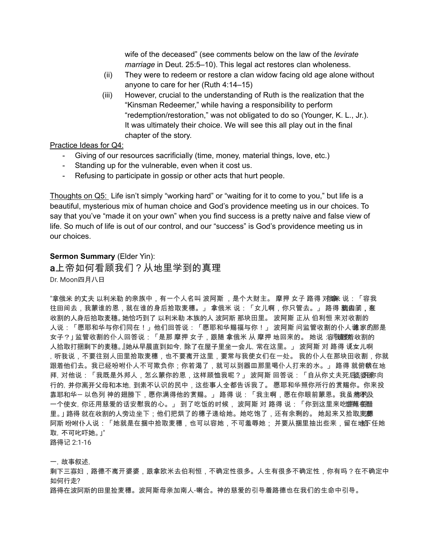wife of the deceased" (see comments below on the law of the *levirate marriage* in Deut. 25:5–10). This legal act restores clan wholeness.

- (ii) They were to redeem or restore a clan widow facing old age alone without anyone to care for her (Ruth 4:14–15)
- (iii) However, crucial to the understanding of Ruth is the realization that the "Kinsman Redeemer," while having a responsibility to perform "redemption/restoration," was not obligated to do so (Younger, K. L., Jr.). It was ultimately their choice. We will see this all play out in the final chapter of the story.

Practice Ideas for Q4:

- Giving of our resources sacrificially (time, money, material things, love, etc.)
- Standing up for the vulnerable, even when it cost us.
- Refusing to participate in gossip or other acts that hurt people.

Thoughts on Q5: Life isn't simply "working hard" or "waiting for it to come to you," but life is a beautiful, mysterious mix of human choice and God's providence meeting us in our choices. To say that you've "made it on your own" when you find success is a pretty naive and false view of life. So much of life is out of our control, and our "success" is God's providence meeting us in our choices.

#### **Sermon Summary** (Elder Yin):

**a**上帝如何看顾我们?从地里学到的真理

Dr. Moon四月八日

"拿俄米 的丈夫 以利米勒 的亲族中,有一个人名叫 波阿斯 ,是个大财主。 摩押 女子 路得 对鹅米 说:「容我 往田间去,我蒙谁的恩,就在谁的身后拾取麦穗。」 拿俄米 说:「女儿啊,你只管去。」 路得 **就由**厠**,来** 收割的人身后拾取麦穗。 她恰巧到了 以利米勒 本族的人 波阿斯 那块田里。 波阿斯 正从 伯利恒 来对收割的 人说:「愿耶和华与你们同在!」他们回答说:「愿耶和华赐福与你!」 波阿斯 问监管收割的仆人谶家的那是 女子?」 监管收割的仆人回答说:「是那 摩押 女子,跟随 拿俄米 从 摩押 地回来的。 她说:容我識隨收割的 人拾取打捆剩下的麦穗。』她从早晨直到如今, 除了在屋子里坐一会儿, 常在这里。」 波阿斯 对 路得 说女儿啊 ,听我说,不要往别人田里拾取麦穗,也不要离开这里,要常与我使女们在一处。 我的仆人在那块田收割,你就 跟着他们去。我已经吩咐仆人不可欺负你;你若渴了,就可以到器皿那里喝仆人打来的水。」 路得 就俯懒在地 拜, 对他说:「我既是外邦人,怎么蒙你的恩,这样顾恤我呢?」 波阿斯 回答说:「自从你丈夫死后婆婆!你向 行的,并你离开父母和本地,到素不认识的民中,这些事人全都告诉我了。 愿耶和华照你所行的赏赐你。你来投 靠耶和华一以色列 神的翅膀下,愿你满得他的赏赐。」 路得 说:「我主啊,愿在你眼前蒙恩。我虽**然否**及 一个使女, 你还用慈爱的话安慰我的心。」 到了吃饭的时候, 波阿斯 对 路得 说:「你到这里来吃餅蘸*電*醋 里。」 路得 就在收割的人旁边坐下;他们把烘了的穗子递给她。她吃饱了,还有余剩的。 她起来又拾取麦穗 阿斯 吩咐仆人说:「她就是在捆中拾取麦穗,也可以容她,不可羞辱她; 并要从捆里抽出些来,留在地下任她 取,不可叱吓她。」"

路得记 2:1-16

一,故事叙述,

剩下三寡妇,路德不离开婆婆,跟拿欧米去伯利恒,不确定性很多。人生有很多不确定性,你有吗?在不确定中 如何行走?

路得在波阿斯的田里捡麦穗。波阿斯母亲加南人-喇合。神的慈爱的引导着路德也在我们的生命中引导。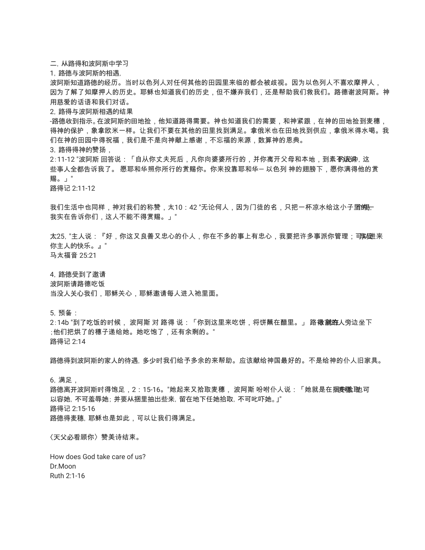二,从路得和波阿斯中学习

1,路德与波阿斯的相遇,

波阿斯知道路德的经历。当时以色列人对任何其他的田园里来临的都会被歧视。因为以色列人不喜欢摩押人, 因为了解了知摩押人的历史。耶稣也知道我们的历史,但不嫌弃我们,还是帮助我们救我们。路德谢波阿斯。神 用慈爱的话语和我们对话。

2,路得与波阿斯相遇的结果

-路德收到指示。在波阿斯的田地捡,他知道路得需要。神也知道我们的需要,和神紧跟,在神的田地捡到麦穗, 得神的保护,象拿欧米一样。让我们不要在其他的田里找到满足。拿俄米也在田地找到供应,拿俄米得水喝。我 们在神的田园中得祝福,我们是不是向神献上感谢,不忘福的来源,数算神的恩典。

3,路得得神的赞扬,

2:11-12 "波阿斯 回答说:「自从你丈夫死后,凡你向婆婆所行的,并你离开父母和本地,到素**不诐**谏, 这 些事人全都告诉我了。 愿耶和华照你所行的赏赐你。你来投靠耶和华— 以色列 神的翅膀下,愿你满得他的赏 赐。」"

路得记 2:11-12

我们生活中也同样,神对我们的称赞,太10:42 "无论何人,因为门徒的名,只把一杯凉水给这小子**野熊<del>。</del>** 我实在告诉你们,这人不能不得赏赐。」"

太25, "主人说:『好,你这又良善又忠心的仆人,你在不多的事上有忠心,我要把许多事派你管理;可<mark>実进</mark>来 你主人的快乐。』" 马太福音 25:21

4,路德受到了邀请 波阿斯请路德吃饭 当没人关心我们,耶稣关心,耶稣邀请每人进入祂里面。

5,预备:

2:14b "到了吃饭的时候, 波阿斯 对 路得 说:「你到这里来吃饼,将饼蘸在醋里。」 路**得謝的**人旁边坐下 ;他们把烘了的穗子递给她。她吃饱了,还有余剩的。" 路得记 2:14

路德得到波阿斯的家人的待遇,多少时我们给予多余的来帮助。应该献给神国最好的。不是给神的仆人旧家具。

6,满足, 路德离开波阿斯时得饱足,2:15-16。"她起来又拾取麦穗, 波阿斯 吩咐仆人说:「她就是在捆头!! 以容她,不可羞辱她; 并要从捆里抽出些来,留在地下任她拾取,不可叱吓她。」" 路得记 2:15-16 路德得麦穗,耶稣也是如此,可以让我们得满足。

〈天父必看顾你〉赞美诗结束。

How does God take care of us? Dr.Moon Ruth 2:1-16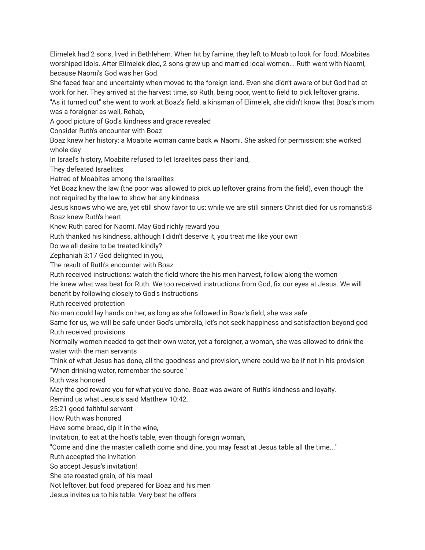Elimelek had 2 sons, lived in Bethlehem. When hit by famine, they left to Moab to look for food. Moabites worshiped idols. After Elimelek died, 2 sons grew up and married local women... Ruth went with Naomi, because Naomi's God was her God.

She faced fear and uncertainty when moved to the foreign land. Even she didn't aware of but God had at work for her. They arrived at the harvest time, so Ruth, being poor, went to field to pick leftover grains.

"As it turned out" she went to work at Boaz's field, a kinsman of Elimelek, she didn't know that Boaz's mom was a foreigner as well, Rehab,

A good picture of God's kindness and grace revealed

Consider Ruth's encounter with Boaz

Boaz knew her history: a Moabite woman came back w Naomi. She asked for permission; she worked whole day

In Israel's history, Moabite refused to let Israelites pass their land,

They defeated Israelites

Hatred of Moabites among the Israelites

Yet Boaz knew the law (the poor was allowed to pick up leftover grains from the field), even though the not required by the law to show her any kindness

Jesus knows who we are, yet still show favor to us: while we are still sinners Christ died for us romans5:8 Boaz knew Ruth's heart

Knew Ruth cared for Naomi. May God richly reward you

Ruth thanked his kindness, although I didn't deserve it, you treat me like your own

Do we all desire to be treated kindly?

Zephaniah 3:17 God delighted in you,

The result of Ruth's encounter with Boaz

Ruth received instructions: watch the field where the his men harvest, follow along the women

He knew what was best for Ruth. We too received instructions from God, fix our eyes at Jesus. We will

benefit by following closely to God's instructions

Ruth received protection

No man could lay hands on her, as long as she followed in Boaz's field, she was safe

Same for us, we will be safe under God's umbrella, let's not seek happiness and satisfaction beyond god Ruth received provisions

Normally women needed to get their own water, yet a foreigner, a woman, she was allowed to drink the water with the man servants

Think of what Jesus has done, all the goodness and provision, where could we be if not in his provision "When drinking water, remember the source "

Ruth was honored

May the god reward you for what you've done. Boaz was aware of Ruth's kindness and loyalty. Remind us what Jesus's said Matthew 10:42,

25:21 good faithful servant

How Ruth was honored

Have some bread, dip it in the wine,

Invitation, to eat at the host's table, even though foreign woman,

"Come and dine the master calleth come and dine, you may feast at Jesus table all the time..."

Ruth accepted the invitation

So accept Jesus's invitation!

She ate roasted grain, of his meal

Not leftover, but food prepared for Boaz and his men

Jesus invites us to his table. Very best he offers